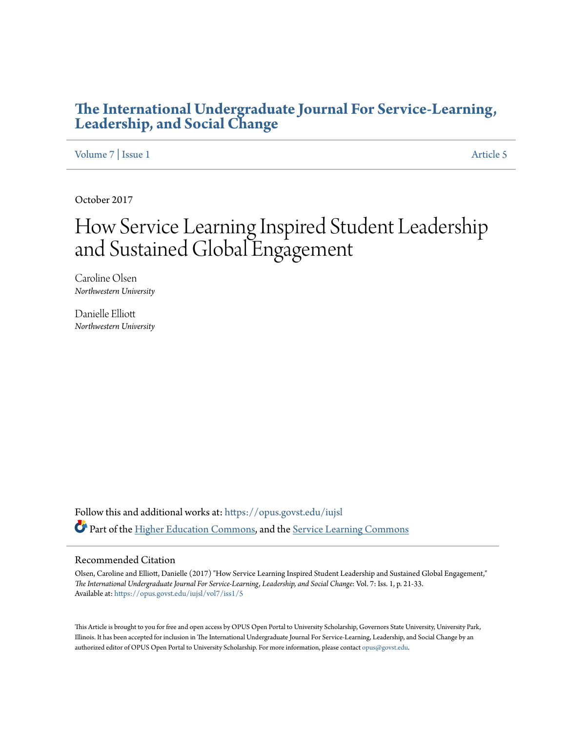# **[The International Undergraduate Journal For Service-Learning,](https://opus.govst.edu/iujsl?utm_source=opus.govst.edu%2Fiujsl%2Fvol7%2Fiss1%2F5&utm_medium=PDF&utm_campaign=PDFCoverPages) [Leadership, and Social Change](https://opus.govst.edu/iujsl?utm_source=opus.govst.edu%2Fiujsl%2Fvol7%2Fiss1%2F5&utm_medium=PDF&utm_campaign=PDFCoverPages)**

[Volume 7](https://opus.govst.edu/iujsl/vol7?utm_source=opus.govst.edu%2Fiujsl%2Fvol7%2Fiss1%2F5&utm_medium=PDF&utm_campaign=PDFCoverPages) | [Issue 1](https://opus.govst.edu/iujsl/vol7/iss1?utm_source=opus.govst.edu%2Fiujsl%2Fvol7%2Fiss1%2F5&utm_medium=PDF&utm_campaign=PDFCoverPages) [Article 5](https://opus.govst.edu/iujsl/vol7/iss1/5?utm_source=opus.govst.edu%2Fiujsl%2Fvol7%2Fiss1%2F5&utm_medium=PDF&utm_campaign=PDFCoverPages)

October 2017

# How Service Learning Inspired Student Leadership and Sustained Global Engagement

Caroline Olsen *Northwestern University*

Danielle Elliott *Northwestern University*

Follow this and additional works at: [https://opus.govst.edu/iujsl](https://opus.govst.edu/iujsl?utm_source=opus.govst.edu%2Fiujsl%2Fvol7%2Fiss1%2F5&utm_medium=PDF&utm_campaign=PDFCoverPages) Part of the [Higher Education Commons](http://network.bepress.com/hgg/discipline/1245?utm_source=opus.govst.edu%2Fiujsl%2Fvol7%2Fiss1%2F5&utm_medium=PDF&utm_campaign=PDFCoverPages), and the [Service Learning Commons](http://network.bepress.com/hgg/discipline/1024?utm_source=opus.govst.edu%2Fiujsl%2Fvol7%2Fiss1%2F5&utm_medium=PDF&utm_campaign=PDFCoverPages)

#### Recommended Citation

Olsen, Caroline and Elliott, Danielle (2017) "How Service Learning Inspired Student Leadership and Sustained Global Engagement," *The International Undergraduate Journal For Service-Learning, Leadership, and Social Change*: Vol. 7: Iss. 1, p. 21-33. Available at: [https://opus.govst.edu/iujsl/vol7/iss1/5](https://opus.govst.edu/iujsl/vol7/iss1/5?utm_source=opus.govst.edu%2Fiujsl%2Fvol7%2Fiss1%2F5&utm_medium=PDF&utm_campaign=PDFCoverPages)

This Article is brought to you for free and open access by OPUS Open Portal to University Scholarship, Governors State University, University Park, Illinois. It has been accepted for inclusion in The International Undergraduate Journal For Service-Learning, Leadership, and Social Change by an authorized editor of OPUS Open Portal to University Scholarship. For more information, please contact [opus@govst.edu.](mailto:opus@govst.edu)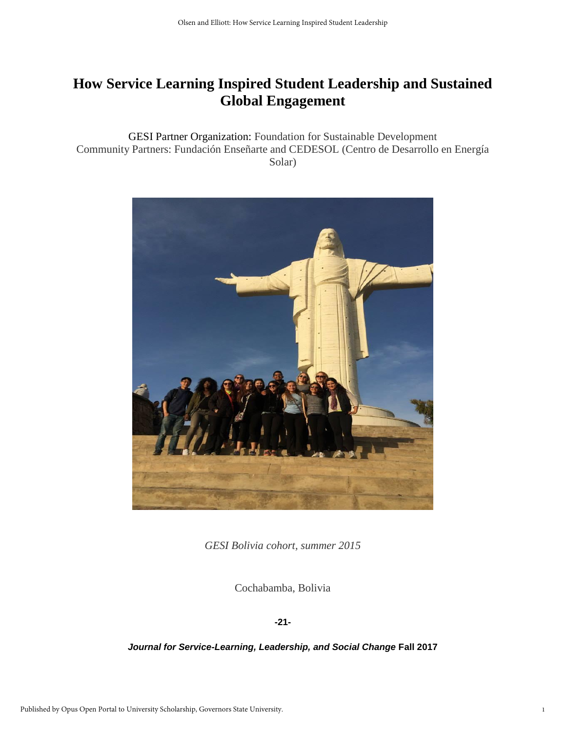# **How Service Learning Inspired Student Leadership and Sustained Global Engagement**

GESI Partner Organization: Foundation for Sustainable Development Community Partners: Fundación Enseñarte and CEDESOL (Centro de Desarrollo en Energía Solar)



*GESI Bolivia cohort, summer 2015*

Cochabamba, Bolivia

**-21-**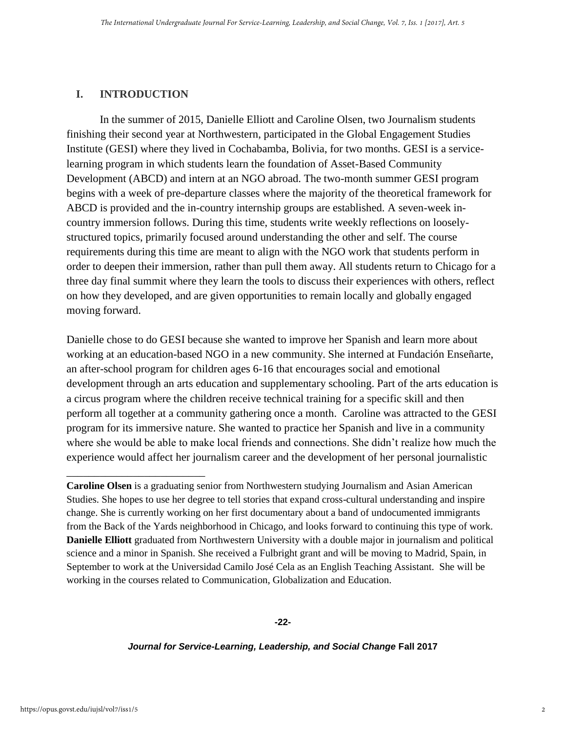# **I. INTRODUCTION**

\_\_\_\_\_\_\_\_\_\_\_\_\_\_\_\_\_\_\_\_\_\_\_\_\_

In the summer of 2015, Danielle Elliott and Caroline Olsen, two Journalism students finishing their second year at Northwestern, participated in the Global Engagement Studies Institute (GESI) where they lived in Cochabamba, Bolivia, for two months. GESI is a servicelearning program in which students learn the foundation of Asset-Based Community Development (ABCD) and intern at an NGO abroad. The two-month summer GESI program begins with a week of pre-departure classes where the majority of the theoretical framework for ABCD is provided and the in-country internship groups are established. A seven-week incountry immersion follows. During this time, students write weekly reflections on looselystructured topics, primarily focused around understanding the other and self. The course requirements during this time are meant to align with the NGO work that students perform in order to deepen their immersion, rather than pull them away. All students return to Chicago for a three day final summit where they learn the tools to discuss their experiences with others, reflect on how they developed, and are given opportunities to remain locally and globally engaged moving forward.

Danielle chose to do GESI because she wanted to improve her Spanish and learn more about working at an education-based NGO in a new community. She interned at Fundación Enseñarte, an after-school program for children ages 6-16 that encourages social and emotional development through an arts education and supplementary schooling. Part of the arts education is a circus program where the children receive technical training for a specific skill and then perform all together at a community gathering once a month. Caroline was attracted to the GESI program for its immersive nature. She wanted to practice her Spanish and live in a community where she would be able to make local friends and connections. She didn't realize how much the experience would affect her journalism career and the development of her personal journalistic

**Caroline Olsen** is a graduating senior from Northwestern studying Journalism and Asian American Studies. She hopes to use her degree to tell stories that expand cross-cultural understanding and inspire change. She is currently working on her first documentary about a band of undocumented immigrants from the Back of the Yards neighborhood in Chicago, and looks forward to continuing this type of work. **Danielle Elliott** graduated from Northwestern University with a double major in journalism and political science and a minor in Spanish. She received a Fulbright grant and will be moving to Madrid, Spain, in September to work at the Universidad Camilo José Cela as an English Teaching Assistant. She will be working in the courses related to Communication, Globalization and Education.

#### **-22-**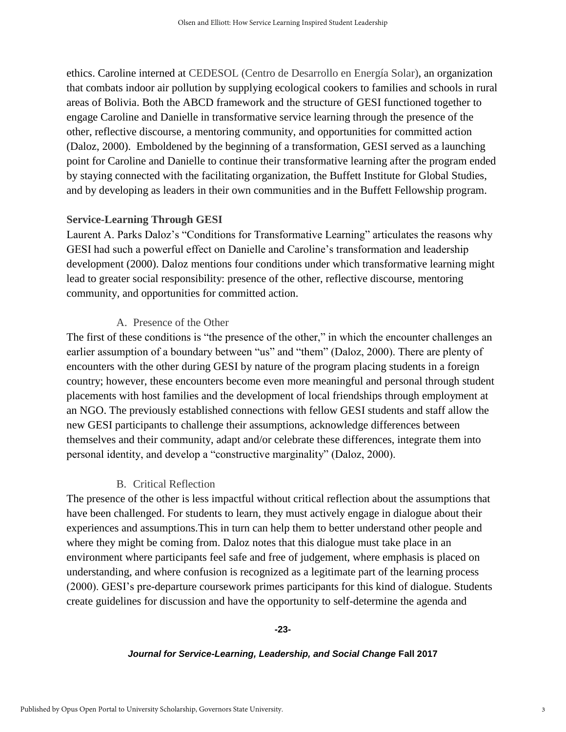ethics. Caroline interned at CEDESOL (Centro de Desarrollo en Energía Solar), an organization that combats indoor air pollution by supplying ecological cookers to families and schools in rural areas of Bolivia. Both the ABCD framework and the structure of GESI functioned together to engage Caroline and Danielle in transformative service learning through the presence of the other, reflective discourse, a mentoring community, and opportunities for committed action (Daloz, 2000). Emboldened by the beginning of a transformation, GESI served as a launching point for Caroline and Danielle to continue their transformative learning after the program ended by staying connected with the facilitating organization, the Buffett Institute for Global Studies, and by developing as leaders in their own communities and in the Buffett Fellowship program.

#### **Service-Learning Through GESI**

Laurent A. Parks Daloz's "Conditions for Transformative Learning" articulates the reasons why GESI had such a powerful effect on Danielle and Caroline's transformation and leadership development (2000). Daloz mentions four conditions under which transformative learning might lead to greater social responsibility: presence of the other, reflective discourse, mentoring community, and opportunities for committed action.

#### A. Presence of the Other

The first of these conditions is "the presence of the other," in which the encounter challenges an earlier assumption of a boundary between "us" and "them" (Daloz, 2000). There are plenty of encounters with the other during GESI by nature of the program placing students in a foreign country; however, these encounters become even more meaningful and personal through student placements with host families and the development of local friendships through employment at an NGO. The previously established connections with fellow GESI students and staff allow the new GESI participants to challenge their assumptions, acknowledge differences between themselves and their community, adapt and/or celebrate these differences, integrate them into personal identity, and develop a "constructive marginality" (Daloz, 2000).

# B. Critical Reflection

The presence of the other is less impactful without critical reflection about the assumptions that have been challenged. For students to learn, they must actively engage in dialogue about their experiences and assumptions.This in turn can help them to better understand other people and where they might be coming from. Daloz notes that this dialogue must take place in an environment where participants feel safe and free of judgement, where emphasis is placed on understanding, and where confusion is recognized as a legitimate part of the learning process (2000). GESI's pre-departure coursework primes participants for this kind of dialogue. Students create guidelines for discussion and have the opportunity to self-determine the agenda and

#### **-23-**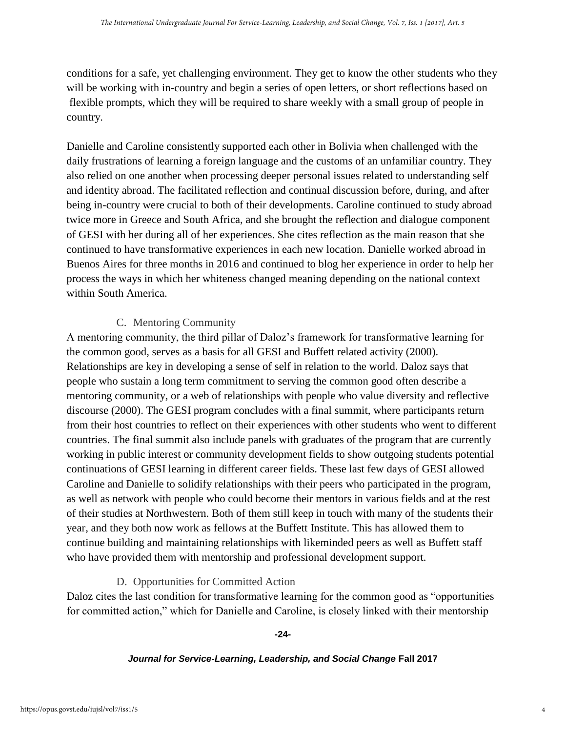conditions for a safe, yet challenging environment. They get to know the other students who they will be working with in-country and begin a series of open letters, or short reflections based on flexible prompts, which they will be required to share weekly with a small group of people in country.

Danielle and Caroline consistently supported each other in Bolivia when challenged with the daily frustrations of learning a foreign language and the customs of an unfamiliar country. They also relied on one another when processing deeper personal issues related to understanding self and identity abroad. The facilitated reflection and continual discussion before, during, and after being in-country were crucial to both of their developments. Caroline continued to study abroad twice more in Greece and South Africa, and she brought the reflection and dialogue component of GESI with her during all of her experiences. She cites reflection as the main reason that she continued to have transformative experiences in each new location. Danielle worked abroad in Buenos Aires for three months in 2016 and continued to blog her experience in order to help her process the ways in which her whiteness changed meaning depending on the national context within South America.

# C. Mentoring Community

A mentoring community, the third pillar of Daloz's framework for transformative learning for the common good, serves as a basis for all GESI and Buffett related activity (2000). Relationships are key in developing a sense of self in relation to the world. Daloz says that people who sustain a long term commitment to serving the common good often describe a mentoring community, or a web of relationships with people who value diversity and reflective discourse (2000). The GESI program concludes with a final summit, where participants return from their host countries to reflect on their experiences with other students who went to different countries. The final summit also include panels with graduates of the program that are currently working in public interest or community development fields to show outgoing students potential continuations of GESI learning in different career fields. These last few days of GESI allowed Caroline and Danielle to solidify relationships with their peers who participated in the program, as well as network with people who could become their mentors in various fields and at the rest of their studies at Northwestern. Both of them still keep in touch with many of the students their year, and they both now work as fellows at the Buffett Institute. This has allowed them to continue building and maintaining relationships with likeminded peers as well as Buffett staff who have provided them with mentorship and professional development support.

# D. Opportunities for Committed Action

Daloz cites the last condition for transformative learning for the common good as "opportunities for committed action," which for Danielle and Caroline, is closely linked with their mentorship

#### **-24-**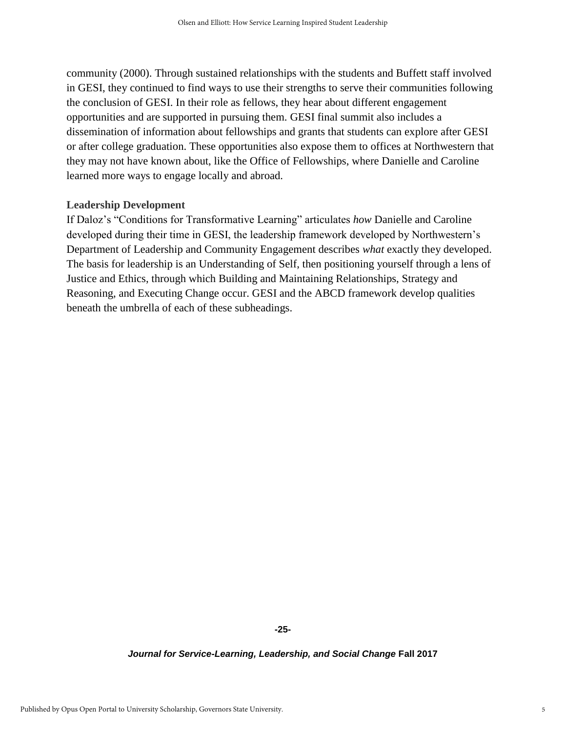community (2000). Through sustained relationships with the students and Buffett staff involved in GESI, they continued to find ways to use their strengths to serve their communities following the conclusion of GESI. In their role as fellows, they hear about different engagement opportunities and are supported in pursuing them. GESI final summit also includes a dissemination of information about fellowships and grants that students can explore after GESI or after college graduation. These opportunities also expose them to offices at Northwestern that they may not have known about, like the Office of Fellowships, where Danielle and Caroline learned more ways to engage locally and abroad.

#### **Leadership Development**

If Daloz's "Conditions for Transformative Learning" articulates *how* Danielle and Caroline developed during their time in GESI, the leadership framework developed by Northwestern's Department of Leadership and Community Engagement describes *what* exactly they developed. The basis for leadership is an Understanding of Self, then positioning yourself through a lens of Justice and Ethics, through which Building and Maintaining Relationships, Strategy and Reasoning, and Executing Change occur. GESI and the ABCD framework develop qualities beneath the umbrella of each of these subheadings.

**-25-**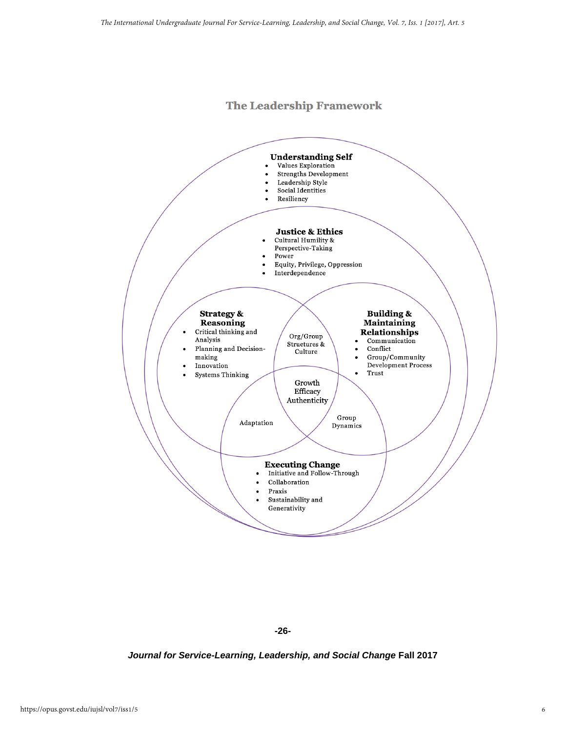# **The Leadership Framework**



**-26-**

*Journal for Service-Learning, Leadership, and Social Change* **Fall 2017**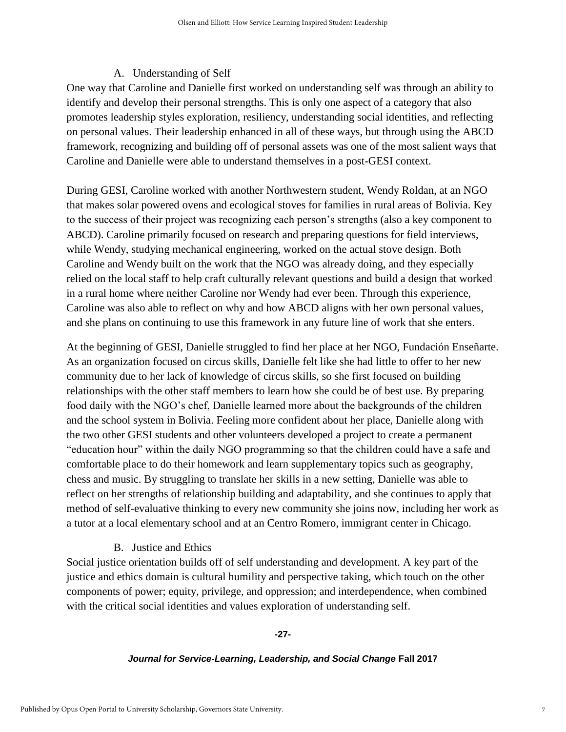# A. Understanding of Self

One way that Caroline and Danielle first worked on understanding self was through an ability to identify and develop their personal strengths. This is only one aspect of a category that also promotes leadership styles exploration, resiliency, understanding social identities, and reflecting on personal values. Their leadership enhanced in all of these ways, but through using the ABCD framework, recognizing and building off of personal assets was one of the most salient ways that Caroline and Danielle were able to understand themselves in a post-GESI context.

During GESI, Caroline worked with another Northwestern student, Wendy Roldan, at an NGO that makes solar powered ovens and ecological stoves for families in rural areas of Bolivia. Key to the success of their project was recognizing each person's strengths (also a key component to ABCD). Caroline primarily focused on research and preparing questions for field interviews, while Wendy, studying mechanical engineering, worked on the actual stove design. Both Caroline and Wendy built on the work that the NGO was already doing, and they especially relied on the local staff to help craft culturally relevant questions and build a design that worked in a rural home where neither Caroline nor Wendy had ever been. Through this experience, Caroline was also able to reflect on why and how ABCD aligns with her own personal values, and she plans on continuing to use this framework in any future line of work that she enters.

At the beginning of GESI, Danielle struggled to find her place at her NGO, Fundación Enseñarte. As an organization focused on circus skills, Danielle felt like she had little to offer to her new community due to her lack of knowledge of circus skills, so she first focused on building relationships with the other staff members to learn how she could be of best use. By preparing food daily with the NGO's chef, Danielle learned more about the backgrounds of the children and the school system in Bolivia. Feeling more confident about her place, Danielle along with the two other GESI students and other volunteers developed a project to create a permanent "education hour" within the daily NGO programming so that the children could have a safe and comfortable place to do their homework and learn supplementary topics such as geography, chess and music. By struggling to translate her skills in a new setting, Danielle was able to reflect on her strengths of relationship building and adaptability, and she continues to apply that method of self-evaluative thinking to every new community she joins now, including her work as a tutor at a local elementary school and at an Centro Romero, immigrant center in Chicago.

# B. Justice and Ethics

Social justice orientation builds off of self understanding and development. A key part of the justice and ethics domain is cultural humility and perspective taking, which touch on the other components of power; equity, privilege, and oppression; and interdependence, when combined with the critical social identities and values exploration of understanding self.

#### **-27-**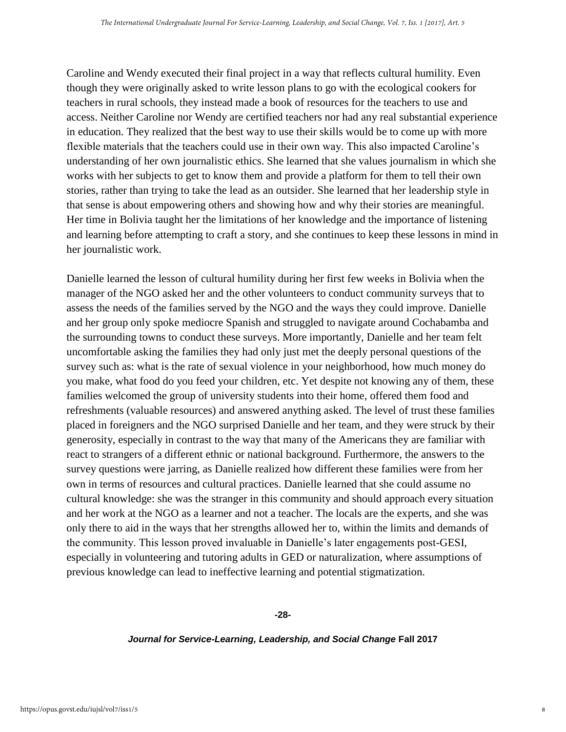Caroline and Wendy executed their final project in a way that reflects cultural humility. Even though they were originally asked to write lesson plans to go with the ecological cookers for teachers in rural schools, they instead made a book of resources for the teachers to use and access. Neither Caroline nor Wendy are certified teachers nor had any real substantial experience in education. They realized that the best way to use their skills would be to come up with more flexible materials that the teachers could use in their own way. This also impacted Caroline's understanding of her own journalistic ethics. She learned that she values journalism in which she works with her subjects to get to know them and provide a platform for them to tell their own stories, rather than trying to take the lead as an outsider. She learned that her leadership style in that sense is about empowering others and showing how and why their stories are meaningful. Her time in Bolivia taught her the limitations of her knowledge and the importance of listening and learning before attempting to craft a story, and she continues to keep these lessons in mind in her journalistic work.

Danielle learned the lesson of cultural humility during her first few weeks in Bolivia when the manager of the NGO asked her and the other volunteers to conduct community surveys that to assess the needs of the families served by the NGO and the ways they could improve. Danielle and her group only spoke mediocre Spanish and struggled to navigate around Cochabamba and the surrounding towns to conduct these surveys. More importantly, Danielle and her team felt uncomfortable asking the families they had only just met the deeply personal questions of the survey such as: what is the rate of sexual violence in your neighborhood, how much money do you make, what food do you feed your children, etc. Yet despite not knowing any of them, these families welcomed the group of university students into their home, offered them food and refreshments (valuable resources) and answered anything asked. The level of trust these families placed in foreigners and the NGO surprised Danielle and her team, and they were struck by their generosity, especially in contrast to the way that many of the Americans they are familiar with react to strangers of a different ethnic or national background. Furthermore, the answers to the survey questions were jarring, as Danielle realized how different these families were from her own in terms of resources and cultural practices. Danielle learned that she could assume no cultural knowledge: she was the stranger in this community and should approach every situation and her work at the NGO as a learner and not a teacher. The locals are the experts, and she was only there to aid in the ways that her strengths allowed her to, within the limits and demands of the community. This lesson proved invaluable in Danielle's later engagements post-GESI, especially in volunteering and tutoring adults in GED or naturalization, where assumptions of previous knowledge can lead to ineffective learning and potential stigmatization.

**-28-**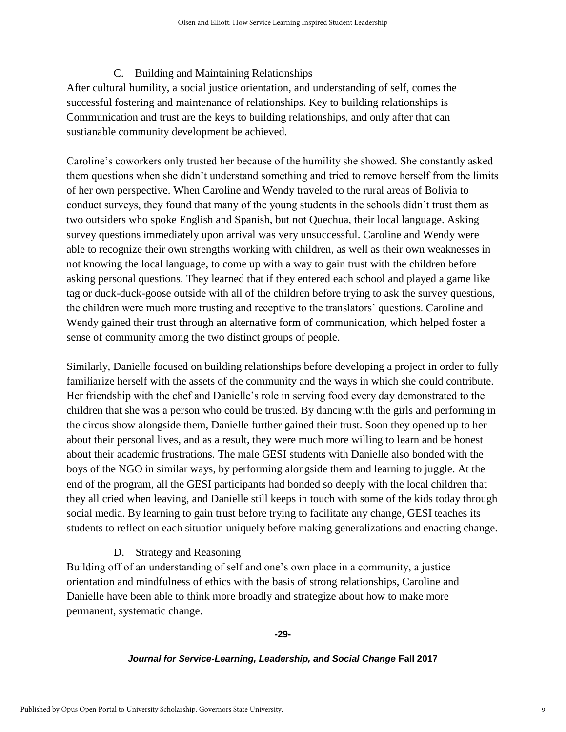#### C. Building and Maintaining Relationships

After cultural humility, a social justice orientation, and understanding of self, comes the successful fostering and maintenance of relationships. Key to building relationships is Communication and trust are the keys to building relationships, and only after that can sustianable community development be achieved.

Caroline's coworkers only trusted her because of the humility she showed. She constantly asked them questions when she didn't understand something and tried to remove herself from the limits of her own perspective. When Caroline and Wendy traveled to the rural areas of Bolivia to conduct surveys, they found that many of the young students in the schools didn't trust them as two outsiders who spoke English and Spanish, but not Quechua, their local language. Asking survey questions immediately upon arrival was very unsuccessful. Caroline and Wendy were able to recognize their own strengths working with children, as well as their own weaknesses in not knowing the local language, to come up with a way to gain trust with the children before asking personal questions. They learned that if they entered each school and played a game like tag or duck-duck-goose outside with all of the children before trying to ask the survey questions, the children were much more trusting and receptive to the translators' questions. Caroline and Wendy gained their trust through an alternative form of communication, which helped foster a sense of community among the two distinct groups of people.

Similarly, Danielle focused on building relationships before developing a project in order to fully familiarize herself with the assets of the community and the ways in which she could contribute. Her friendship with the chef and Danielle's role in serving food every day demonstrated to the children that she was a person who could be trusted. By dancing with the girls and performing in the circus show alongside them, Danielle further gained their trust. Soon they opened up to her about their personal lives, and as a result, they were much more willing to learn and be honest about their academic frustrations. The male GESI students with Danielle also bonded with the boys of the NGO in similar ways, by performing alongside them and learning to juggle. At the end of the program, all the GESI participants had bonded so deeply with the local children that they all cried when leaving, and Danielle still keeps in touch with some of the kids today through social media. By learning to gain trust before trying to facilitate any change, GESI teaches its students to reflect on each situation uniquely before making generalizations and enacting change.

# D. Strategy and Reasoning

Building off of an understanding of self and one's own place in a community, a justice orientation and mindfulness of ethics with the basis of strong relationships, Caroline and Danielle have been able to think more broadly and strategize about how to make more permanent, systematic change.

#### **-29-**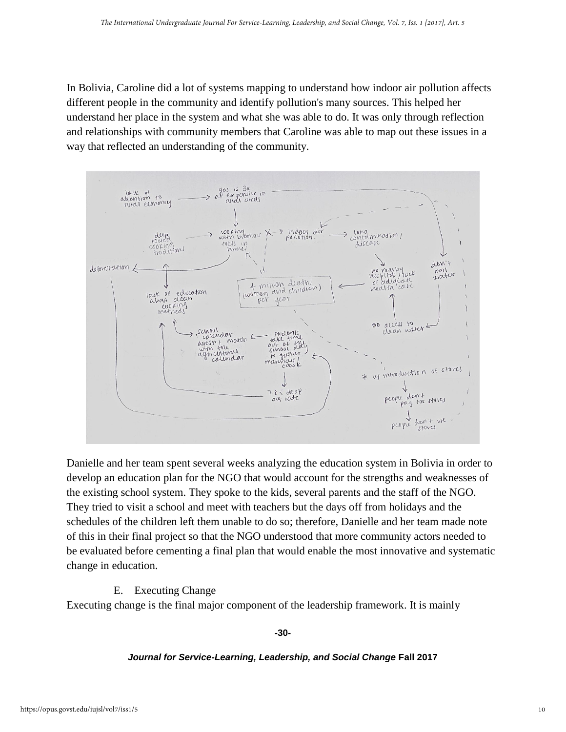In Bolivia, Caroline did a lot of systems mapping to understand how indoor air pollution affects different people in the community and identify pollution's many sources. This helped her understand her place in the system and what she was able to do. It was only through reflection and relationships with community members that Caroline was able to map out these issues in a way that reflected an understanding of the community.



Danielle and her team spent several weeks analyzing the education system in Bolivia in order to develop an education plan for the NGO that would account for the strengths and weaknesses of the existing school system. They spoke to the kids, several parents and the staff of the NGO. They tried to visit a school and meet with teachers but the days off from holidays and the schedules of the children left them unable to do so; therefore, Danielle and her team made note of this in their final project so that the NGO understood that more community actors needed to be evaluated before cementing a final plan that would enable the most innovative and systematic change in education.

# E. Executing Change

Executing change is the final major component of the leadership framework. It is mainly

**-30-**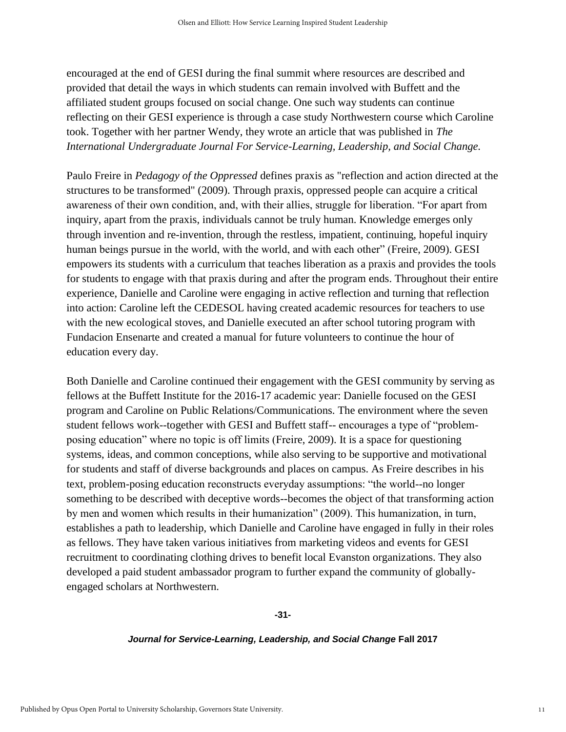encouraged at the end of GESI during the final summit where resources are described and provided that detail the ways in which students can remain involved with Buffett and the affiliated student groups focused on social change. One such way students can continue reflecting on their GESI experience is through a case study Northwestern course which Caroline took. Together with her partner Wendy, they wrote an article that was published in *[The](http://opus.govst.edu/iujsl)  [International Undergraduate Journal For Service-Learning, Leadership, and Social Change.](http://opus.govst.edu/iujsl)* 

Paulo Freire in *Pedagogy of the Oppressed* defines praxis as "reflection and action directed at the structures to be transformed" (2009). Through praxis, oppressed people can acquire a critical awareness of their own condition, and, with their allies, struggle for liberation. "For apart from inquiry, apart from the praxis, individuals cannot be truly human. Knowledge emerges only through invention and re-invention, through the restless, impatient, continuing, hopeful inquiry human beings pursue in the world, with the world, and with each other" (Freire, 2009). GESI empowers its students with a curriculum that teaches liberation as a praxis and provides the tools for students to engage with that praxis during and after the program ends. Throughout their entire experience, Danielle and Caroline were engaging in active reflection and turning that reflection into action: Caroline left the CEDESOL having created academic resources for teachers to use with the new ecological stoves, and Danielle executed an after school tutoring program with Fundacion Ensenarte and created a manual for future volunteers to continue the hour of education every day.

Both Danielle and Caroline continued their engagement with the GESI community by serving as fellows at the Buffett Institute for the 2016-17 academic year: Danielle focused on the GESI program and Caroline on Public Relations/Communications. The environment where the seven student fellows work--together with GESI and Buffett staff-- encourages a type of "problemposing education" where no topic is off limits (Freire, 2009). It is a space for questioning systems, ideas, and common conceptions, while also serving to be supportive and motivational for students and staff of diverse backgrounds and places on campus. As Freire describes in his text, problem-posing education reconstructs everyday assumptions: "the world--no longer something to be described with deceptive words--becomes the object of that transforming action by men and women which results in their humanization" (2009). This humanization, in turn, establishes a path to leadership, which Danielle and Caroline have engaged in fully in their roles as fellows. They have taken various initiatives from marketing videos and events for GESI recruitment to coordinating clothing drives to benefit local Evanston organizations. They also developed a paid student ambassador program to further expand the community of globallyengaged scholars at Northwestern.

**-31-**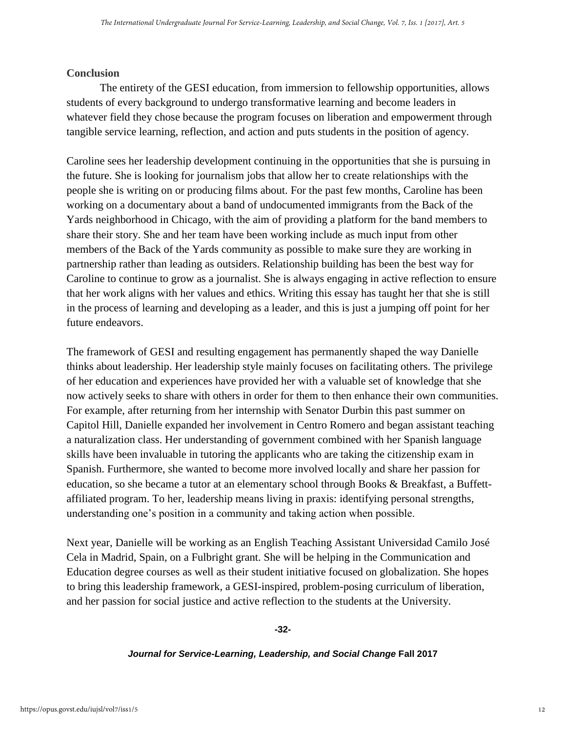# **Conclusion**

The entirety of the GESI education, from immersion to fellowship opportunities, allows students of every background to undergo transformative learning and become leaders in whatever field they chose because the program focuses on liberation and empowerment through tangible service learning, reflection, and action and puts students in the position of agency.

Caroline sees her leadership development continuing in the opportunities that she is pursuing in the future. She is looking for journalism jobs that allow her to create relationships with the people she is writing on or producing films about. For the past few months, Caroline has been working on a documentary about a band of undocumented immigrants from the Back of the Yards neighborhood in Chicago, with the aim of providing a platform for the band members to share their story. She and her team have been working include as much input from other members of the Back of the Yards community as possible to make sure they are working in partnership rather than leading as outsiders. Relationship building has been the best way for Caroline to continue to grow as a journalist. She is always engaging in active reflection to ensure that her work aligns with her values and ethics. Writing this essay has taught her that she is still in the process of learning and developing as a leader, and this is just a jumping off point for her future endeavors.

The framework of GESI and resulting engagement has permanently shaped the way Danielle thinks about leadership. Her leadership style mainly focuses on facilitating others. The privilege of her education and experiences have provided her with a valuable set of knowledge that she now actively seeks to share with others in order for them to then enhance their own communities. For example, after returning from her internship with Senator Durbin this past summer on Capitol Hill, Danielle expanded her involvement in Centro Romero and began assistant teaching a naturalization class. Her understanding of government combined with her Spanish language skills have been invaluable in tutoring the applicants who are taking the citizenship exam in Spanish. Furthermore, she wanted to become more involved locally and share her passion for education, so she became a tutor at an elementary school through Books & Breakfast, a Buffettaffiliated program. To her, leadership means living in praxis: identifying personal strengths, understanding one's position in a community and taking action when possible.

Next year, Danielle will be working as an English Teaching Assistant Universidad Camilo José Cela in Madrid, Spain, on a Fulbright grant. She will be helping in the Communication and Education degree courses as well as their student initiative focused on globalization. She hopes to bring this leadership framework, a GESI-inspired, problem-posing curriculum of liberation, and her passion for social justice and active reflection to the students at the University.

#### **-32-**